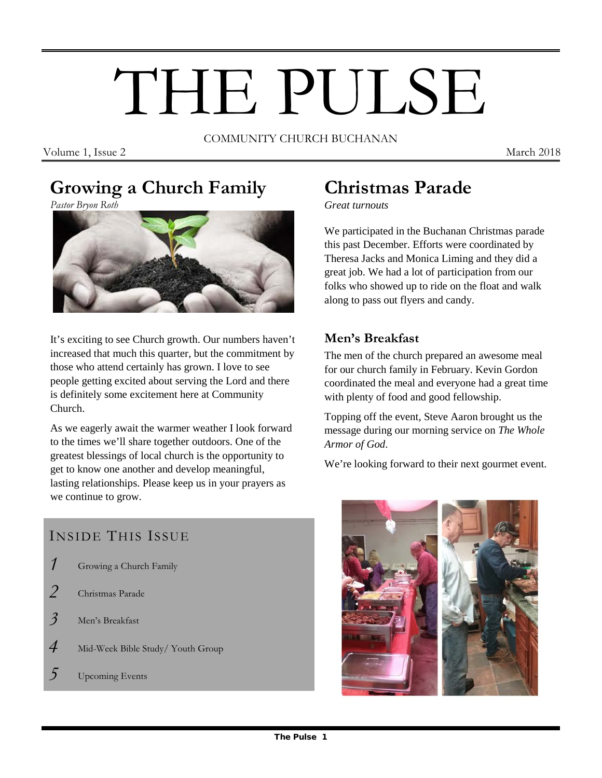# THE PULSE

COMMUNITY CHURCH BUCHANAN

Volume 1, Issue 2 March 2018

# **Growing a Church Family**

*Pastor Bryon Roth*



It's exciting to see Church growth. Our numbers haven't increased that much this quarter, but the commitment by those who attend certainly has grown. I love to see people getting excited about serving the Lord and there is definitely some excitement here at Community Church.

As we eagerly await the warmer weather I look forward to the times we'll share together outdoors. One of the greatest blessings of local church is the opportunity to get to know one another and develop meaningful, lasting relationships. Please keep us in your prayers as we continue to grow.

# INSIDE THIS ISSUE

- *1* Growing a Church Family
- *2* Christmas Parade
- *3* Men's Breakfast
- *4* Mid-Week Bible Study/ Youth Group
- *5* Upcoming Events

# **Christmas Parade**

*Great turnouts*

We participated in the Buchanan Christmas parade this past December. Efforts were coordinated by Theresa Jacks and Monica Liming and they did a great job. We had a lot of participation from our folks who showed up to ride on the float and walk along to pass out flyers and candy.

## **Men's Breakfast**

The men of the church prepared an awesome meal for our church family in February. Kevin Gordon coordinated the meal and everyone had a great time with plenty of food and good fellowship.

Topping off the event, Steve Aaron brought us the message during our morning service on *The Whole Armor of God*.

We're looking forward to their next gourmet event.